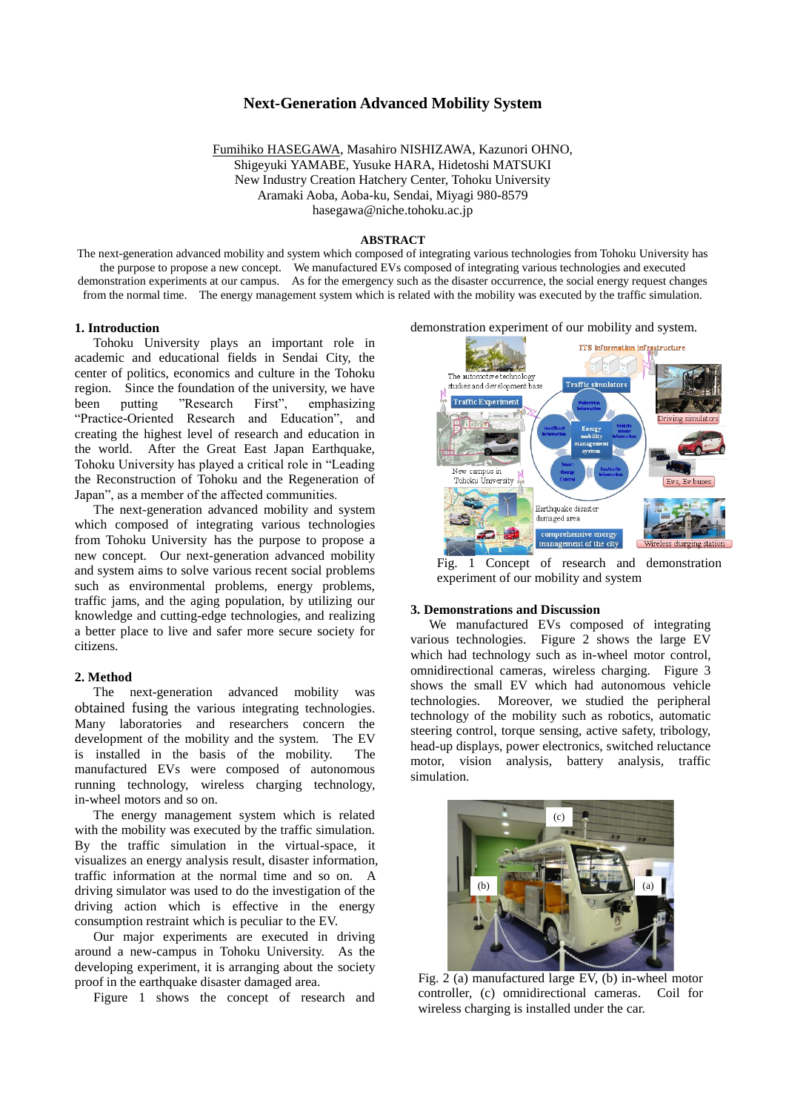# **Next-Generation Advanced Mobility System**

Fumihiko HASEGAWA, Masahiro NISHIZAWA, Kazunori OHNO, Shigeyuki YAMABE, Yusuke HARA, Hidetoshi MATSUKI New Industry Creation Hatchery Center, Tohoku University Aramaki Aoba, Aoba-ku, Sendai, Miyagi 980-8579 hasegawa@niche.tohoku.ac.jp

### **ABSTRACT**

The next-generation advanced mobility and system which composed of integrating various technologies from Tohoku University has the purpose to propose a new concept. We manufactured EVs composed of integrating various technologies and executed demonstration experiments at our campus. As for the emergency such as the disaster occurrence, the social energy request changes from the normal time. The energy management system which is related with the mobility was executed by the traffic simulation.

## **1. Introduction**

Tohoku University plays an important role in academic and educational fields in Sendai City, the center of politics, economics and culture in the Tohoku region. Since the foundation of the university, we have been putting "Research First", emphasizing "Practice-Oriented Research and Education", and creating the highest level of research and education in the world. After the Great East Japan Earthquake, Tohoku University has played a critical role in "Leading the Reconstruction of Tohoku and the Regeneration of Japan", as a member of the affected communities.

The next-generation advanced mobility and system which composed of integrating various technologies from Tohoku University has the purpose to propose a new concept. Our next-generation advanced mobility and system aims to solve various recent social problems such as environmental problems, energy problems, traffic jams, and the aging population, by utilizing our knowledge and cutting-edge technologies, and realizing a better place to live and safer more secure society for citizens.

# **2. Method**

The next-generation advanced mobility was obtained fusing the various integrating technologies. Many laboratories and researchers concern the development of the mobility and the system. The EV is installed in the basis of the mobility. The manufactured EVs were composed of autonomous running technology, wireless charging technology, in-wheel motors and so on.

The energy management system which is related with the mobility was executed by the traffic simulation. By the traffic simulation in the virtual-space, it visualizes an energy analysis result, disaster information, traffic information at the normal time and so on. A driving simulator was used to do the investigation of the driving action which is effective in the energy consumption restraint which is peculiar to the EV.

Our major experiments are executed in driving around a new-campus in Tohoku University. As the developing experiment, it is arranging about the society proof in the earthquake disaster damaged area.

Figure 1 shows the concept of research and

#### demonstration experiment of our mobility and system.



Fig. 1 Concept of research and demonstration experiment of our mobility and system

### **3. Demonstrations and Discussion**

We manufactured EVs composed of integrating various technologies. Figure 2 shows the large EV which had technology such as in-wheel motor control, omnidirectional cameras, wireless charging. Figure 3 shows the small EV which had autonomous vehicle technologies. Moreover, we studied the peripheral technology of the mobility such as robotics, automatic steering control, torque sensing, active safety, tribology, head-up displays, power electronics, switched reluctance motor, vision analysis, battery analysis, traffic simulation.



Fig. 2 (a) manufactured large EV, (b) in-wheel motor controller, (c) omnidirectional cameras. Coil for wireless charging is installed under the car.